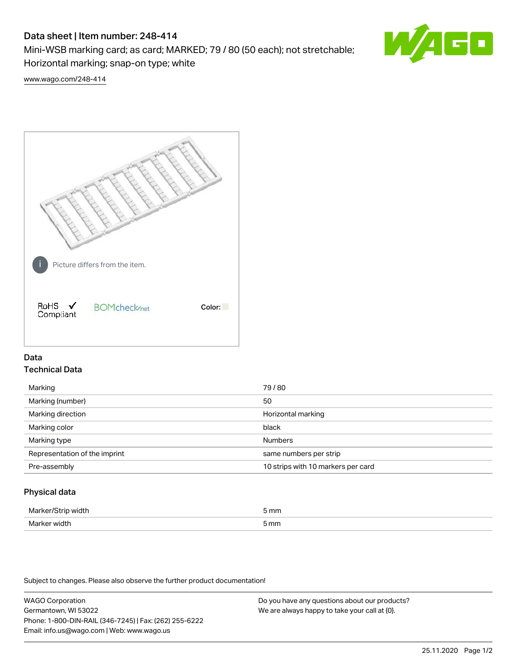# Data sheet | Item number: 248-414

Mini-WSB marking card; as card; MARKED; 79 / 80 (50 each); not stretchable; Horizontal marking; snap-on type; white



[www.wago.com/248-414](http://www.wago.com/248-414)



## Data Technical Data

| Marking                       | 79/80                              |
|-------------------------------|------------------------------------|
| Marking (number)              | 50                                 |
| Marking direction             | Horizontal marking                 |
| Marking color                 | black                              |
| Marking type                  | <b>Numbers</b>                     |
| Representation of the imprint | same numbers per strip             |
| Pre-assembly                  | 10 strips with 10 markers per card |
|                               |                                    |

## Physical data

| Marker<br><b>WINTI</b><br>י | 5 mm |
|-----------------------------|------|
| Marker width                | 5 mm |

Subject to changes. Please also observe the further product documentation!

WAGO Corporation Germantown, WI 53022 Phone: 1-800-DIN-RAIL (346-7245) | Fax: (262) 255-6222 Email: info.us@wago.com | Web: www.wago.us Do you have any questions about our products? We are always happy to take your call at {0}.